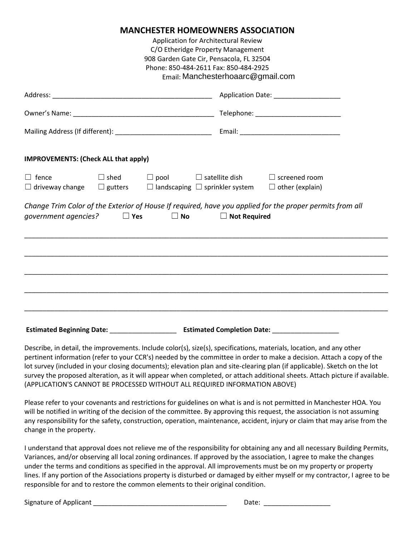## **MANCHESTER HOMEOWNERS ASSOCIATION**

Application for Architectural Review C/O Etheridge Property Management 908 Garden Gate Cir, Pensacola, FL 32504 Phone: 850-484-2611 Fax: 850-484-2925 Email: *gmail.com* w Manchesterhoaarc@gmail.com

|                                             | Application Date: ______________________                                                                                                                                                  |  |
|---------------------------------------------|-------------------------------------------------------------------------------------------------------------------------------------------------------------------------------------------|--|
|                                             | Telephone: _____________________________                                                                                                                                                  |  |
|                                             |                                                                                                                                                                                           |  |
| <b>IMPROVEMENTS: (Check ALL that apply)</b> |                                                                                                                                                                                           |  |
| $\Box$ fence                                | $\square$ shed $\square$ pool $\square$ satellite dish $\square$ screened room<br>$\Box$ driveway change $\Box$ gutters $\Box$ landscaping $\Box$ sprinkler system $\Box$ other (explain) |  |
|                                             | Change Trim Color of the Exterior of House If required, have you applied for the proper permits from all<br>government agencies? $\Box$ Yes $\Box$ No<br>$\Box$ Not Required              |  |
|                                             |                                                                                                                                                                                           |  |
|                                             |                                                                                                                                                                                           |  |
|                                             |                                                                                                                                                                                           |  |
| <b>Estimated Beginning Date:</b>            | <b>Estimated Completion Date:</b>                                                                                                                                                         |  |

Describe, in detail, the improvements. Include color(s), size(s), specifications, materials, location, and any other pertinent information (refer to your CCR's) needed by the committee in order to make a decision. Attach a copy of the lot survey (included in your closing documents); elevation plan and site-clearing plan (if applicable). Sketch on the lot survey the proposed alteration, as it will appear when completed, or attach additional sheets. Attach picture if available. (APPLICATION'S CANNOT BE PROCESSED WITHOUT ALL REQUIRED INFORMATION ABOVE)

Please refer to your covenants and restrictions for guidelines on what is and is not permitted in Manchester HOA. You will be notified in writing of the decision of the committee. By approving this request, the association is not assuming any responsibility for the safety, construction, operation, maintenance, accident, injury or claim that may arise from the change in the property.

I understand that approval does not relieve me of the responsibility for obtaining any and all necessary Building Permits, Variances, and/or observing all local zoning ordinances. If approved by the association, I agree to make the changes under the terms and conditions as specified in the approval. All improvements must be on my property or property lines. If any portion of the Associations property is disturbed or damaged by either myself or my contractor, I agree to be responsible for and to restore the common elements to their original condition.

Signature of Applicant \_\_\_\_\_\_\_\_\_\_\_\_\_\_\_\_\_\_\_\_\_\_\_\_\_\_\_\_\_\_\_\_\_\_\_\_ Date: \_\_\_\_\_\_\_\_\_\_\_\_\_\_\_\_\_\_